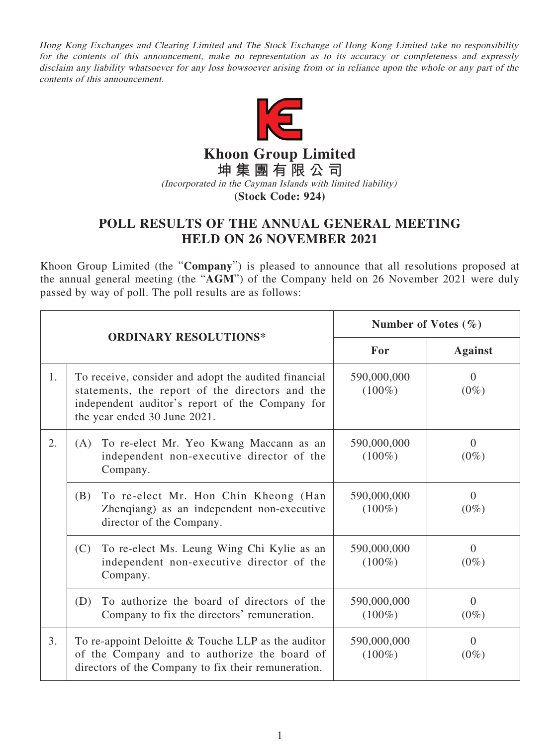Hong Kong Exchanges and Clearing Limited and The Stock Exchange of Hong Kong Limited take no responsibility for the contents of this announcement, make no representation as to its accuracy or completeness and expressly disclaim any liability whatsoever for any loss howsoever arising from or in reliance upon the whole or any part of the contents of this announcement.



**Khoon Group Limited**

**坤集團有限公司**

(Incorporated in the Cayman Islands with limited liability)

**(Stock Code: 924)**

## **POLL RESULTS OF THE ANNUAL GENERAL MEETING HELD ON 26 NOVEMBER 2021**

Khoon Group Limited (the "**Company**") is pleased to announce that all resolutions proposed at the annual general meeting (the "**AGM**") of the Company held on 26 November 2021 were duly passed by way of poll. The poll results are as follows:

|                              |                                                                                                                                                                                            | Number of Votes $(\% )$  |                           |
|------------------------------|--------------------------------------------------------------------------------------------------------------------------------------------------------------------------------------------|--------------------------|---------------------------|
| <b>ORDINARY RESOLUTIONS*</b> |                                                                                                                                                                                            | For                      | <b>Against</b>            |
| 1.                           | To receive, consider and adopt the audited financial<br>statements, the report of the directors and the<br>independent auditor's report of the Company for<br>the year ended 30 June 2021. | 590,000,000<br>$(100\%)$ | $\Omega$<br>$(0\%)$       |
| 2.                           | (A) To re-elect Mr. Yeo Kwang Maccann as an<br>independent non-executive director of the<br>Company.                                                                                       | 590,000,000<br>$(100\%)$ | $\theta$<br>$(0\%)$       |
|                              | (B)<br>To re-elect Mr. Hon Chin Kheong (Han<br>Zhenqiang) as an independent non-executive<br>director of the Company.                                                                      | 590,000,000<br>$(100\%)$ | $\Omega$<br>$(0\%)$       |
|                              | To re-elect Ms. Leung Wing Chi Kylie as an<br>(C)<br>independent non-executive director of the<br>Company.                                                                                 | 590,000,000<br>$(100\%)$ | $\Omega$<br>$(0\%)$       |
|                              | To authorize the board of directors of the<br>(D)<br>Company to fix the directors' remuneration.                                                                                           | 590,000,000<br>$(100\%)$ | $\overline{0}$<br>$(0\%)$ |
| 3 <sub>1</sub>               | To re-appoint Deloitte $&$ Touche LLP as the auditor<br>of the Company and to authorize the board of<br>directors of the Company to fix their remuneration.                                | 590,000,000<br>$(100\%)$ | $\Omega$<br>$(0\%)$       |